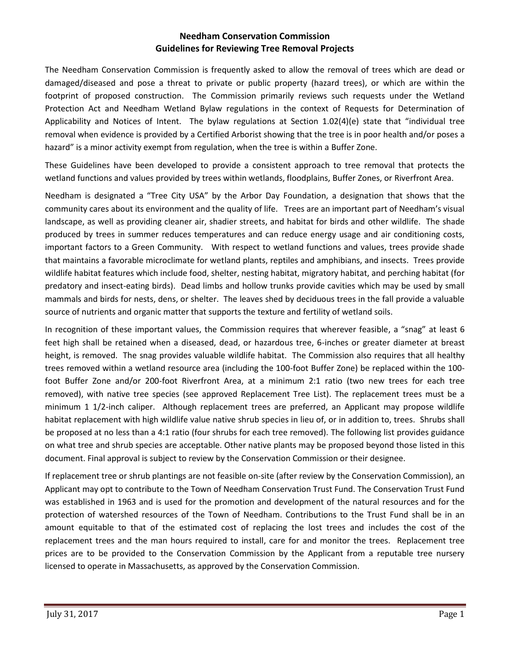## **Needham Conservation Commission Guidelines for Reviewing Tree Removal Projects**

The Needham Conservation Commission is frequently asked to allow the removal of trees which are dead or damaged/diseased and pose a threat to private or public property (hazard trees), or which are within the footprint of proposed construction. The Commission primarily reviews such requests under the Wetland Protection Act and Needham Wetland Bylaw regulations in the context of Requests for Determination of Applicability and Notices of Intent. The bylaw regulations at Section 1.02(4)(e) state that "individual tree removal when evidence is provided by a Certified Arborist showing that the tree is in poor health and/or poses a hazard" is a minor activity exempt from regulation, when the tree is within a Buffer Zone.

These Guidelines have been developed to provide a consistent approach to tree removal that protects the wetland functions and values provided by trees within wetlands, floodplains, Buffer Zones, or Riverfront Area.

Needham is designated a "Tree City USA" by the Arbor Day Foundation, a designation that shows that the community cares about its environment and the quality of life. Trees are an important part of Needham's visual landscape, as well as providing cleaner air, shadier streets, and habitat for birds and other wildlife. The shade produced by trees in summer reduces temperatures and can reduce energy usage and air conditioning costs, important factors to a Green Community. With respect to wetland functions and values, trees provide shade that maintains a favorable microclimate for wetland plants, reptiles and amphibians, and insects. Trees provide wildlife habitat features which include food, shelter, nesting habitat, migratory habitat, and perching habitat (for predatory and insect-eating birds). Dead limbs and hollow trunks provide cavities which may be used by small mammals and birds for nests, dens, or shelter. The leaves shed by deciduous trees in the fall provide a valuable source of nutrients and organic matter that supports the texture and fertility of wetland soils.

In recognition of these important values, the Commission requires that wherever feasible, a "snag" at least 6 feet high shall be retained when a diseased, dead, or hazardous tree, 6-inches or greater diameter at breast height, is removed. The snag provides valuable wildlife habitat. The Commission also requires that all healthy trees removed within a wetland resource area (including the 100-foot Buffer Zone) be replaced within the 100 foot Buffer Zone and/or 200-foot Riverfront Area, at a minimum 2:1 ratio (two new trees for each tree removed), with native tree species (see approved Replacement Tree List). The replacement trees must be a minimum 1 1/2-inch caliper. Although replacement trees are preferred, an Applicant may propose wildlife habitat replacement with high wildlife value native shrub species in lieu of, or in addition to, trees. Shrubs shall be proposed at no less than a 4:1 ratio (four shrubs for each tree removed). The following list provides guidance on what tree and shrub species are acceptable. Other native plants may be proposed beyond those listed in this document. Final approval is subject to review by the Conservation Commission or their designee.

If replacement tree or shrub plantings are not feasible on-site (after review by the Conservation Commission), an Applicant may opt to contribute to the Town of Needham Conservation Trust Fund. The Conservation Trust Fund was established in 1963 and is used for the promotion and development of the natural resources and for the protection of watershed resources of the Town of Needham. Contributions to the Trust Fund shall be in an amount equitable to that of the estimated cost of replacing the lost trees and includes the cost of the replacement trees and the man hours required to install, care for and monitor the trees. Replacement tree prices are to be provided to the Conservation Commission by the Applicant from a reputable tree nursery licensed to operate in Massachusetts, as approved by the Conservation Commission.